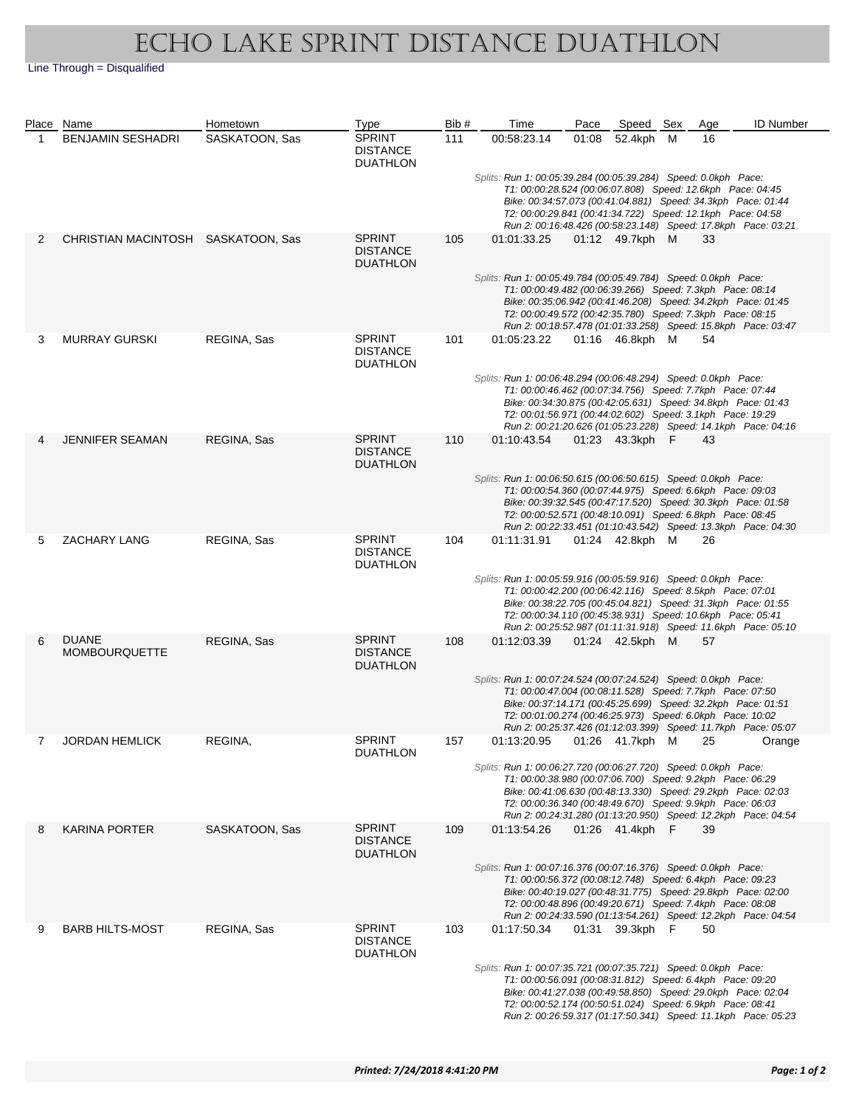## Echo Lake Sprint Distance Duathlon

Line Through = Disqualified

|   | Place Name                           | Hometown       | Type                                                | Bib# | Time                                                                                                                                                                                                                                                                                                                       | Pace  | Speed Sex       | Age | <b>ID Number</b> |
|---|--------------------------------------|----------------|-----------------------------------------------------|------|----------------------------------------------------------------------------------------------------------------------------------------------------------------------------------------------------------------------------------------------------------------------------------------------------------------------------|-------|-----------------|-----|------------------|
| 1 | <b>BENJAMIN SESHADRI</b>             | SASKATOON, Sas | <b>SPRINT</b><br><b>DISTANCE</b><br><b>DUATHLON</b> | 111  | 00:58:23.14                                                                                                                                                                                                                                                                                                                | 01:08 | 52.4kph M       | 16  |                  |
|   |                                      |                |                                                     |      | Splits: Run 1: 00:05:39.284 (00:05:39.284) Speed: 0.0kph Pace:<br>T1: 00:00:28.524 (00:06:07.808) Speed: 12.6kph Pace: 04:45<br>Bike: 00:34:57.073 (00:41:04.881) Speed: 34.3kph Pace: 01:44<br>T2: 00:00:29.841 (00:41:34.722) Speed: 12.1kph Pace: 04:58                                                                 |       |                 |     |                  |
| 2 | CHRISTIAN MACINTOSH SASKATOON, Sas   |                | <b>SPRINT</b><br><b>DISTANCE</b><br><b>DUATHLON</b> | 105  | Run 2: 00:16:48.426 (00:58:23.148) Speed: 17.8kph Pace: 03:21<br>01:01:33.25                                                                                                                                                                                                                                               |       | 01:12 49.7kph M | 33  |                  |
|   |                                      |                |                                                     |      | Splits: Run 1: 00:05:49.784 (00:05:49.784) Speed: 0.0kph Pace:<br>T1: 00:00:49.482 (00:06:39.266) Speed: 7.3kph Pace: 08:14<br>Bike: 00:35:06.942 (00:41:46.208) Speed: 34.2kph Pace: 01:45<br>T2: 00:00:49.572 (00:42:35.780) Speed: 7.3kph Pace: 08:15<br>Run 2: 00:18:57.478 (01:01:33.258) Speed: 15.8kph Pace: 03:47  |       |                 |     |                  |
| 3 | <b>MURRAY GURSKI</b>                 | REGINA, Sas    | <b>SPRINT</b><br><b>DISTANCE</b><br><b>DUATHLON</b> | 101  | 01:05:23.22                                                                                                                                                                                                                                                                                                                |       | 01:16 46.8kph M | 54  |                  |
|   |                                      |                |                                                     |      | Splits: Run 1: 00:06:48.294 (00:06:48.294) Speed: 0.0kph Pace:<br>T1: 00:00:46.462 (00:07:34.756) Speed: 7.7kph Pace: 07:44<br>Bike: 00:34:30.875 (00:42:05.631) Speed: 34.8kph Pace: 01:43<br>T2: 00:01:56.971 (00:44:02.602) Speed: 3.1kph Pace: 19:29<br>Run 2: 00:21:20.626 (01:05:23.228) Speed: 14.1kph Pace: 04:16  |       |                 |     |                  |
| 4 | <b>JENNIFER SEAMAN</b>               | REGINA, Sas    | <b>SPRINT</b><br><b>DISTANCE</b><br><b>DUATHLON</b> | 110  | 01:10:43.54                                                                                                                                                                                                                                                                                                                |       | 01:23 43.3kph F | 43  |                  |
|   |                                      |                |                                                     |      | Splits: Run 1: 00:06:50.615 (00:06:50.615) Speed: 0.0kph Pace:<br>T1: 00:00:54.360 (00:07:44.975) Speed: 6.6kph Pace: 09:03<br>Bike: 00:39:32.545 (00:47:17.520) Speed: 30.3kph Pace: 01:58<br>T2: 00:00:52.571 (00:48:10.091) Speed: 6.8kph Pace: 08:45<br>Run 2: 00:22:33.451 (01:10:43.542) Speed: 13.3kph Pace: 04:30  |       |                 |     |                  |
| 5 | <b>ZACHARY LANG</b>                  | REGINA, Sas    | <b>SPRINT</b><br><b>DISTANCE</b><br><b>DUATHLON</b> | 104  | 01:11:31.91                                                                                                                                                                                                                                                                                                                |       | 01:24 42.8kph M | 26  |                  |
|   |                                      |                |                                                     |      | Splits: Run 1: 00:05:59.916 (00:05:59.916) Speed: 0.0kph Pace:<br>T1: 00:00:42.200 (00:06:42.116) Speed: 8.5kph Pace: 07:01<br>Bike: 00:38:22.705 (00:45:04.821) Speed: 31.3kph Pace: 01:55<br>T2: 00:00:34.110 (00:45:38.931) Speed: 10.6kph Pace: 05:41<br>Run 2: 00:25:52.987 (01:11:31.918) Speed: 11.6kph Pace: 05:10 |       |                 |     |                  |
| 6 | <b>DUANE</b><br><b>MOMBOURQUETTE</b> | REGINA, Sas    | <b>SPRINT</b><br><b>DISTANCE</b><br><b>DUATHLON</b> | 108  | 01:12:03.39                                                                                                                                                                                                                                                                                                                |       | 01:24 42.5kph M | 57  |                  |
|   |                                      |                |                                                     |      | Splits: Run 1: 00:07:24.524 (00:07:24.524) Speed: 0.0kph Pace:<br>T1: 00:00:47.004 (00:08:11.528) Speed: 7.7kph Pace: 07:50<br>Bike: 00:37:14.171 (00:45:25.699) Speed: 32.2kph Pace: 01:51<br>T2: 00:01:00.274 (00:46:25.973) Speed: 6.0kph Pace: 10:02<br>Run 2: 00:25:37.426 (01:12:03.399) Speed: 11.7kph Pace: 05:07  |       |                 |     |                  |
|   | <b>JORDAN HEMLICK</b>                | REGINA,        | <b>SPRINT</b><br><b>DUATHLON</b>                    | 157  | 01:13:20.95  01:26  41.7kph  M  25<br>Splits: Run 1: 00:06:27.720 (00:06:27.720) Speed: 0.0kph Pace:                                                                                                                                                                                                                       |       |                 |     | Orange           |
|   |                                      |                |                                                     |      | T1: 00:00:38.980 (00:07:06.700) Speed: 9.2kph Pace: 06:29<br>Bike: 00:41:06.630 (00:48:13.330) Speed: 29.2kph Pace: 02:03<br>T2: 00:00:36.340 (00:48:49.670) Speed: 9.9kph Pace: 06:03<br>Run 2: 00:24:31.280 (01:13:20.950) Speed: 12.2kph Pace: 04:54                                                                    |       |                 |     |                  |
| 8 | <b>KARINA PORTER</b>                 | SASKATOON, Sas | <b>SPRINT</b><br><b>DISTANCE</b><br><b>DUATHLON</b> | 109  | 01:13:54.26                                                                                                                                                                                                                                                                                                                |       | 01:26 41.4kph F | 39  |                  |
|   |                                      |                |                                                     |      | Splits: Run 1: 00:07:16.376 (00:07:16.376) Speed: 0.0kph Pace:<br>T1: 00:00:56.372 (00:08:12.748) Speed: 6.4kph Pace: 09:23<br>Bike: 00:40:19.027 (00:48:31.775) Speed: 29.8kph Pace: 02:00<br>T2: 00:00:48.896 (00:49:20.671) Speed: 7.4kph Pace: 08:08<br>Run 2: 00:24:33.590 (01:13:54.261) Speed: 12.2kph Pace: 04:54  |       |                 |     |                  |
| 9 | <b>BARB HILTS-MOST</b>               | REGINA, Sas    | <b>SPRINT</b><br><b>DISTANCE</b><br><b>DUATHLON</b> | 103  | 01:17:50.34                                                                                                                                                                                                                                                                                                                |       | 01:31 39.3kph F | 50  |                  |
|   |                                      |                |                                                     |      | Splits: Run 1: 00:07:35.721 (00:07:35.721) Speed: 0.0kph Pace:<br>T1: 00:00:56.091 (00:08:31.812) Speed: 6.4kph Pace: 09:20<br>Bike: 00:41:27.038 (00:49:58.850) Speed: 29.0kph Pace: 02:04<br>T2: 00:00:52.174 (00:50:51.024) Speed: 6.9kph Pace: 08:41<br>Run 2: 00:26:59.317 (01:17:50.341) Speed: 11.1kph Pace: 05:23  |       |                 |     |                  |